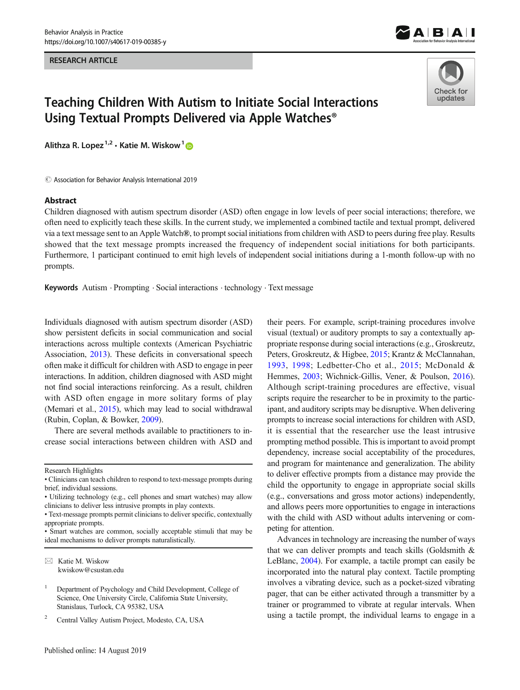#### RESEARCH ARTICLE





# Teaching Children With Autism to Initiate Social Interactions Using Textual Prompts Delivered via Apple Watches®

Alithza R. Lopez<sup>1,2</sup>  $\cdot$  Katie M. Wiskow<sup>1</sup> D

 $\odot$  Association for Behavior Analysis International 2019

#### Abstract

Children diagnosed with autism spectrum disorder (ASD) often engage in low levels of peer social interactions; therefore, we often need to explicitly teach these skills. In the current study, we implemented a combined tactile and textual prompt, delivered via a text message sent to an Apple Watch®, to prompt social initiations from children with ASD to peers during free play. Results showed that the text message prompts increased the frequency of independent social initiations for both participants. Furthermore, 1 participant continued to emit high levels of independent social initiations during a 1-month follow-up with no prompts.

Keywords Autism . Prompting . Social interactions . technology . Text message

Individuals diagnosed with autism spectrum disorder (ASD) show persistent deficits in social communication and social interactions across multiple contexts (American Psychiatric Association, [2013\)](#page-6-0). These deficits in conversational speech often make it difficult for children with ASD to engage in peer interactions. In addition, children diagnosed with ASD might not find social interactions reinforcing. As a result, children with ASD often engage in more solitary forms of play (Memari et al., [2015](#page-6-0)), which may lead to social withdrawal (Rubin, Coplan, & Bowker, [2009\)](#page-6-0).

There are several methods available to practitioners to increase social interactions between children with ASD and

 $\boxtimes$  Katie M. Wiskow [kwiskow@csustan.edu](mailto:kwiskow@csustan.edu)

<sup>2</sup> Central Valley Autism Project, Modesto, CA, USA

their peers. For example, script-training procedures involve visual (textual) or auditory prompts to say a contextually appropriate response during social interactions (e.g., Groskreutz, Peters, Groskreutz, & Higbee, [2015;](#page-6-0) Krantz & McClannahan, [1993,](#page-6-0) [1998;](#page-6-0) Ledbetter-Cho et al., [2015](#page-6-0); McDonald & Hemmes, [2003;](#page-6-0) Wichnick-Gillis, Vener, & Poulson, [2016\)](#page-6-0). Although script-training procedures are effective, visual scripts require the researcher to be in proximity to the participant, and auditory scripts may be disruptive. When delivering prompts to increase social interactions for children with ASD, it is essential that the researcher use the least intrusive prompting method possible. This is important to avoid prompt dependency, increase social acceptability of the procedures, and program for maintenance and generalization. The ability to deliver effective prompts from a distance may provide the child the opportunity to engage in appropriate social skills (e.g., conversations and gross motor actions) independently, and allows peers more opportunities to engage in interactions with the child with ASD without adults intervening or competing for attention.

Advances in technology are increasing the number of ways that we can deliver prompts and teach skills (Goldsmith & LeBlanc, [2004](#page-6-0)). For example, a tactile prompt can easily be incorporated into the natural play context. Tactile prompting involves a vibrating device, such as a pocket-sized vibrating pager, that can be either activated through a transmitter by a trainer or programmed to vibrate at regular intervals. When using a tactile prompt, the individual learns to engage in a

Research Highlights

<sup>•</sup> Clinicians can teach children to respond to text-message prompts during brief, individual sessions.

<sup>•</sup> Utilizing technology (e.g., cell phones and smart watches) may allow clinicians to deliver less intrusive prompts in play contexts.

<sup>•</sup> Text-message prompts permit clinicians to deliver specific, contextually appropriate prompts.

<sup>•</sup> Smart watches are common, socially acceptable stimuli that may be ideal mechanisms to deliver prompts naturalistically.

<sup>1</sup> Department of Psychology and Child Development, College of Science, One University Circle, California State University, Stanislaus, Turlock, CA 95382, USA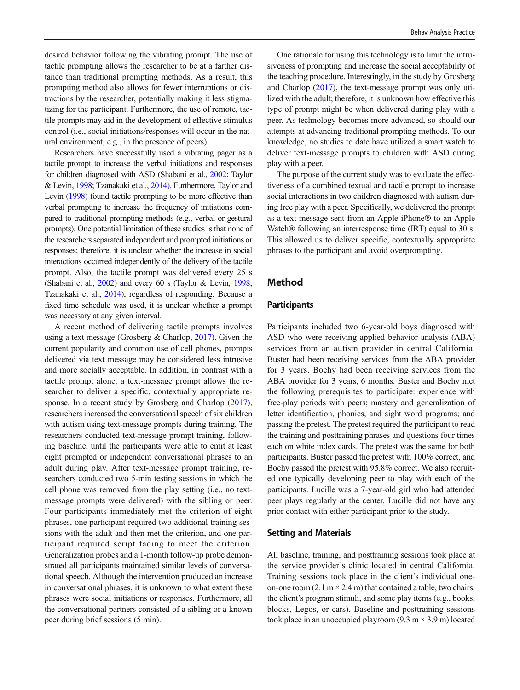desired behavior following the vibrating prompt. The use of tactile prompting allows the researcher to be at a farther distance than traditional prompting methods. As a result, this prompting method also allows for fewer interruptions or distractions by the researcher, potentially making it less stigmatizing for the participant. Furthermore, the use of remote, tactile prompts may aid in the development of effective stimulus control (i.e., social initiations/responses will occur in the natural environment, e.g., in the presence of peers).

Researchers have successfully used a vibrating pager as a tactile prompt to increase the verbal initiations and responses for children diagnosed with ASD (Shabani et al., [2002](#page-6-0); Taylor & Levin, [1998](#page-6-0); Tzanakaki et al., [2014](#page-6-0)). Furthermore, Taylor and Levin ([1998](#page-6-0)) found tactile prompting to be more effective than verbal prompting to increase the frequency of initiations compared to traditional prompting methods (e.g., verbal or gestural prompts). One potential limitation of these studies is that none of the researchers separated independent and prompted initiations or responses; therefore, it is unclear whether the increase in social interactions occurred independently of the delivery of the tactile prompt. Also, the tactile prompt was delivered every 25 s (Shabani et al., [2002\)](#page-6-0) and every 60 s (Taylor & Levin, [1998](#page-6-0); Tzanakaki et al., [2014\)](#page-6-0), regardless of responding. Because a fixed time schedule was used, it is unclear whether a prompt was necessary at any given interval.

A recent method of delivering tactile prompts involves using a text message (Grosberg & Charlop, [2017\)](#page-6-0). Given the current popularity and common use of cell phones, prompts delivered via text message may be considered less intrusive and more socially acceptable. In addition, in contrast with a tactile prompt alone, a text-message prompt allows the researcher to deliver a specific, contextually appropriate response. In a recent study by Grosberg and Charlop ([2017\)](#page-6-0), researchers increased the conversational speech of six children with autism using text-message prompts during training. The researchers conducted text-message prompt training, following baseline, until the participants were able to emit at least eight prompted or independent conversational phrases to an adult during play. After text-message prompt training, researchers conducted two 5-min testing sessions in which the cell phone was removed from the play setting (i.e., no textmessage prompts were delivered) with the sibling or peer. Four participants immediately met the criterion of eight phrases, one participant required two additional training sessions with the adult and then met the criterion, and one participant required script fading to meet the criterion. Generalization probes and a 1-month follow-up probe demonstrated all participants maintained similar levels of conversational speech. Although the intervention produced an increase in conversational phrases, it is unknown to what extent these phrases were social initiations or responses. Furthermore, all the conversational partners consisted of a sibling or a known peer during brief sessions (5 min).

One rationale for using this technology is to limit the intrusiveness of prompting and increase the social acceptability of the teaching procedure. Interestingly, in the study by Grosberg and Charlop ([2017](#page-6-0)), the text-message prompt was only utilized with the adult; therefore, it is unknown how effective this type of prompt might be when delivered during play with a peer. As technology becomes more advanced, so should our attempts at advancing traditional prompting methods. To our knowledge, no studies to date have utilized a smart watch to deliver text-message prompts to children with ASD during play with a peer.

The purpose of the current study was to evaluate the effectiveness of a combined textual and tactile prompt to increase social interactions in two children diagnosed with autism during free play with a peer. Specifically, we delivered the prompt as a text message sent from an Apple iPhone® to an Apple Watch® following an interresponse time (IRT) equal to 30 s. This allowed us to deliver specific, contextually appropriate phrases to the participant and avoid overprompting.

#### Method

#### **Participants**

Participants included two 6-year-old boys diagnosed with ASD who were receiving applied behavior analysis (ABA) services from an autism provider in central California. Buster had been receiving services from the ABA provider for 3 years. Bochy had been receiving services from the ABA provider for 3 years, 6 months. Buster and Bochy met the following prerequisites to participate: experience with free-play periods with peers; mastery and generalization of letter identification, phonics, and sight word programs; and passing the pretest. The pretest required the participant to read the training and posttraining phrases and questions four times each on white index cards. The pretest was the same for both participants. Buster passed the pretest with 100% correct, and Bochy passed the pretest with 95.8% correct. We also recruited one typically developing peer to play with each of the participants. Lucille was a 7-year-old girl who had attended peer plays regularly at the center. Lucille did not have any prior contact with either participant prior to the study.

#### Setting and Materials

All baseline, training, and posttraining sessions took place at the service provider's clinic located in central California. Training sessions took place in the client's individual oneon-one room (2.1 m  $\times$  2.4 m) that contained a table, two chairs, the client's program stimuli, and some play items (e.g., books, blocks, Legos, or cars). Baseline and posttraining sessions took place in an unoccupied playroom  $(9.3 \text{ m} \times 3.9 \text{ m})$  located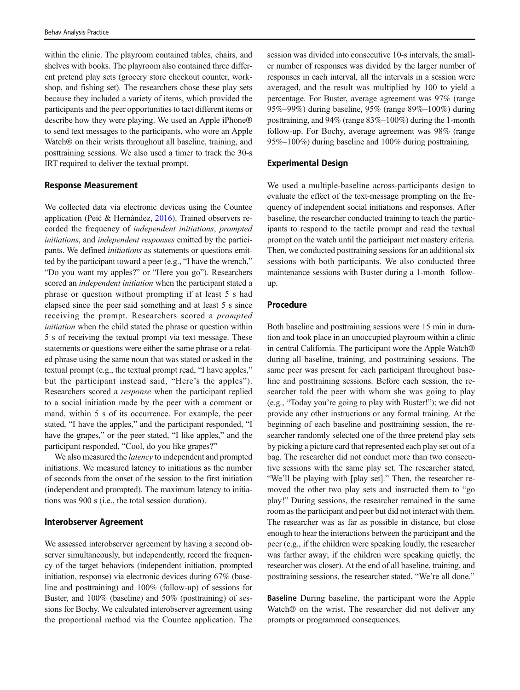within the clinic. The playroom contained tables, chairs, and shelves with books. The playroom also contained three different pretend play sets (grocery store checkout counter, workshop, and fishing set). The researchers chose these play sets because they included a variety of items, which provided the participants and the peer opportunities to tact different items or describe how they were playing. We used an Apple iPhone® to send text messages to the participants, who wore an Apple Watch<sup>®</sup> on their wrists throughout all baseline, training, and posttraining sessions. We also used a timer to track the 30-s IRT required to deliver the textual prompt.

#### Response Measurement

We collected data via electronic devices using the Countee application (Peić & Hernández, [2016](#page-6-0)). Trained observers recorded the frequency of independent initiations, prompted initiations, and independent responses emitted by the participants. We defined initiations as statements or questions emitted by the participant toward a peer (e.g., "I have the wrench," "Do you want my apples?" or "Here you go"). Researchers scored an *independent initiation* when the participant stated a phrase or question without prompting if at least 5 s had elapsed since the peer said something and at least 5 s since receiving the prompt. Researchers scored a prompted initiation when the child stated the phrase or question within 5 s of receiving the textual prompt via text message. These statements or questions were either the same phrase or a related phrase using the same noun that was stated or asked in the textual prompt (e.g., the textual prompt read, "I have apples," but the participant instead said, "Here's the apples"). Researchers scored a response when the participant replied to a social initiation made by the peer with a comment or mand, within 5 s of its occurrence. For example, the peer stated, "I have the apples," and the participant responded, "I have the grapes," or the peer stated, "I like apples," and the participant responded, "Cool, do you like grapes?"

We also measured the *latency* to independent and prompted initiations. We measured latency to initiations as the number of seconds from the onset of the session to the first initiation (independent and prompted). The maximum latency to initiations was 900 s (i.e., the total session duration).

#### Interobserver Agreement

We assessed interobserver agreement by having a second observer simultaneously, but independently, record the frequency of the target behaviors (independent initiation, prompted initiation, response) via electronic devices during 67% (baseline and posttraining) and 100% (follow-up) of sessions for Buster, and 100% (baseline) and 50% (posttraining) of sessions for Bochy. We calculated interobserver agreement using the proportional method via the Countee application. The

session was divided into consecutive 10-s intervals, the smaller number of responses was divided by the larger number of responses in each interval, all the intervals in a session were averaged, and the result was multiplied by 100 to yield a percentage. For Buster, average agreement was 97% (range 95%–99%) during baseline, 95% (range 89%–100%) during posttraining, and 94% (range 83%–100%) during the 1-month follow-up. For Bochy, average agreement was 98% (range 95%–100%) during baseline and 100% during posttraining.

#### Experimental Design

We used a multiple-baseline across-participants design to evaluate the effect of the text-message prompting on the frequency of independent social initiations and responses. After baseline, the researcher conducted training to teach the participants to respond to the tactile prompt and read the textual prompt on the watch until the participant met mastery criteria. Then, we conducted posttraining sessions for an additional six sessions with both participants. We also conducted three maintenance sessions with Buster during a 1-month followup.

## Procedure

Both baseline and posttraining sessions were 15 min in duration and took place in an unoccupied playroom within a clinic in central California. The participant wore the Apple Watch® during all baseline, training, and posttraining sessions. The same peer was present for each participant throughout baseline and posttraining sessions. Before each session, the researcher told the peer with whom she was going to play (e.g., "Today you're going to play with Buster!"); we did not provide any other instructions or any formal training. At the beginning of each baseline and posttraining session, the researcher randomly selected one of the three pretend play sets by picking a picture card that represented each play set out of a bag. The researcher did not conduct more than two consecutive sessions with the same play set. The researcher stated, "We'll be playing with [play set]." Then, the researcher removed the other two play sets and instructed them to "go play!" During sessions, the researcher remained in the same room as the participant and peer but did not interact with them. The researcher was as far as possible in distance, but close enough to hear the interactions between the participant and the peer (e.g., if the children were speaking loudly, the researcher was farther away; if the children were speaking quietly, the researcher was closer). At the end of all baseline, training, and posttraining sessions, the researcher stated, "We're all done."

Baseline During baseline, the participant wore the Apple Watch® on the wrist. The researcher did not deliver any prompts or programmed consequences.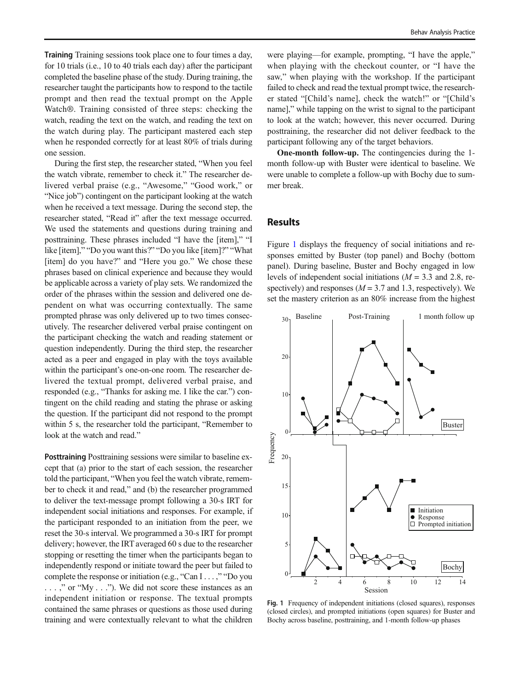Training Training sessions took place one to four times a day, for 10 trials (i.e., 10 to 40 trials each day) after the participant completed the baseline phase of the study. During training, the researcher taught the participants how to respond to the tactile prompt and then read the textual prompt on the Apple Watch®. Training consisted of three steps: checking the watch, reading the text on the watch, and reading the text on the watch during play. The participant mastered each step when he responded correctly for at least 80% of trials during one session.

During the first step, the researcher stated, "When you feel the watch vibrate, remember to check it." The researcher delivered verbal praise (e.g., "Awesome," "Good work," or "Nice job") contingent on the participant looking at the watch when he received a text message. During the second step, the researcher stated, "Read it" after the text message occurred. We used the statements and questions during training and posttraining. These phrases included "I have the [item]," "I like [item]," "Do you want this?" "Do you like [item]?" "What [item] do you have?" and "Here you go." We chose these phrases based on clinical experience and because they would be applicable across a variety of play sets. We randomized the order of the phrases within the session and delivered one dependent on what was occurring contextually. The same prompted phrase was only delivered up to two times consecutively. The researcher delivered verbal praise contingent on the participant checking the watch and reading statement or question independently. During the third step, the researcher acted as a peer and engaged in play with the toys available within the participant's one-on-one room. The researcher delivered the textual prompt, delivered verbal praise, and responded (e.g., "Thanks for asking me. I like the car.") contingent on the child reading and stating the phrase or asking the question. If the participant did not respond to the prompt within 5 s, the researcher told the participant, "Remember to look at the watch and read."

Posttraining Posttraining sessions were similar to baseline except that (a) prior to the start of each session, the researcher told the participant, "When you feel the watch vibrate, remember to check it and read," and (b) the researcher programmed to deliver the text-message prompt following a 30-s IRT for independent social initiations and responses. For example, if the participant responded to an initiation from the peer, we reset the 30-s interval. We programmed a 30-s IRT for prompt delivery; however, the IRT averaged 60 s due to the researcher stopping or resetting the timer when the participants began to independently respond or initiate toward the peer but failed to complete the response or initiation (e.g., "Can  $I \dots$ ," "Do you ...," or "My . . ."). We did not score these instances as an independent initiation or response. The textual prompts contained the same phrases or questions as those used during training and were contextually relevant to what the children

were playing—for example, prompting, "I have the apple," when playing with the checkout counter, or "I have the saw," when playing with the workshop. If the participant failed to check and read the textual prompt twice, the researcher stated "[Child's name], check the watch!" or "[Child's name]," while tapping on the wrist to signal to the participant to look at the watch; however, this never occurred. During posttraining, the researcher did not deliver feedback to the participant following any of the target behaviors.

One-month follow-up. The contingencies during the 1 month follow-up with Buster were identical to baseline. We were unable to complete a follow-up with Bochy due to summer break.

### Results

Figure 1 displays the frequency of social initiations and responses emitted by Buster (top panel) and Bochy (bottom panel). During baseline, Buster and Bochy engaged in low levels of independent social initiations ( $M = 3.3$  and 2.8, respectively) and responses ( $M = 3.7$  and 1.3, respectively). We set the mastery criterion as an 80% increase from the highest



Fig. 1 Frequency of independent initiations (closed squares), responses (closed circles), and prompted initiations (open squares) for Buster and Bochy across baseline, posttraining, and 1-month follow-up phases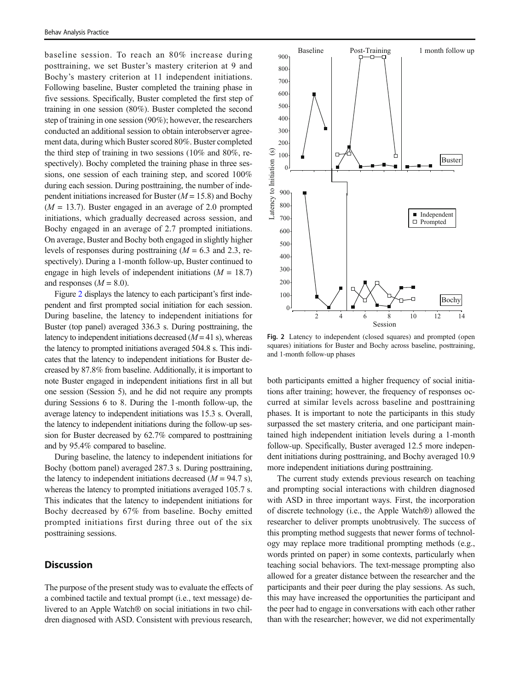baseline session. To reach an 80% increase during posttraining, we set Buster's mastery criterion at 9 and Bochy's mastery criterion at 11 independent initiations. Following baseline, Buster completed the training phase in five sessions. Specifically, Buster completed the first step of training in one session (80%). Buster completed the second step of training in one session (90%); however, the researchers conducted an additional session to obtain interobserver agreement data, during which Buster scored 80%. Buster completed the third step of training in two sessions (10% and 80%, respectively). Bochy completed the training phase in three sessions, one session of each training step, and scored 100% during each session. During posttraining, the number of independent initiations increased for Buster  $(M = 15.8)$  and Bochy  $(M = 13.7)$ . Buster engaged in an average of 2.0 prompted initiations, which gradually decreased across session, and Bochy engaged in an average of 2.7 prompted initiations. On average, Buster and Bochy both engaged in slightly higher levels of responses during posttraining  $(M = 6.3$  and 2.3, respectively). During a 1-month follow-up, Buster continued to engage in high levels of independent initiations  $(M = 18.7)$ and responses  $(M = 8.0)$ .

Figure 2 displays the latency to each participant's first independent and first prompted social initiation for each session. During baseline, the latency to independent initiations for Buster (top panel) averaged 336.3 s. During posttraining, the latency to independent initiations decreased  $(M = 41 \text{ s})$ , whereas the latency to prompted initiations averaged 504.8 s. This indicates that the latency to independent initiations for Buster decreased by 87.8% from baseline. Additionally, it is important to note Buster engaged in independent initiations first in all but one session (Session 5), and he did not require any prompts during Sessions 6 to 8. During the 1-month follow-up, the average latency to independent initiations was 15.3 s. Overall, the latency to independent initiations during the follow-up session for Buster decreased by 62.7% compared to posttraining and by 95.4% compared to baseline.

During baseline, the latency to independent initiations for Bochy (bottom panel) averaged 287.3 s. During posttraining, the latency to independent initiations decreased  $(M = 94.7 \text{ s})$ , whereas the latency to prompted initiations averaged 105.7 s. This indicates that the latency to independent initiations for Bochy decreased by 67% from baseline. Bochy emitted prompted initiations first during three out of the six posttraining sessions.

## **Discussion**

The purpose of the present study was to evaluate the effects of a combined tactile and textual prompt (i.e., text message) delivered to an Apple Watch® on social initiations in two children diagnosed with ASD. Consistent with previous research,



Fig. 2 Latency to independent (closed squares) and prompted (open squares) initiations for Buster and Bochy across baseline, posttraining, and 1-month follow-up phases

both participants emitted a higher frequency of social initiations after training; however, the frequency of responses occurred at similar levels across baseline and posttraining phases. It is important to note the participants in this study surpassed the set mastery criteria, and one participant maintained high independent initiation levels during a 1-month follow-up. Specifically, Buster averaged 12.5 more independent initiations during posttraining, and Bochy averaged 10.9 more independent initiations during posttraining.

The current study extends previous research on teaching and prompting social interactions with children diagnosed with ASD in three important ways. First, the incorporation of discrete technology (i.e., the Apple Watch®) allowed the researcher to deliver prompts unobtrusively. The success of this prompting method suggests that newer forms of technology may replace more traditional prompting methods (e.g., words printed on paper) in some contexts, particularly when teaching social behaviors. The text-message prompting also allowed for a greater distance between the researcher and the participants and their peer during the play sessions. As such, this may have increased the opportunities the participant and the peer had to engage in conversations with each other rather than with the researcher; however, we did not experimentally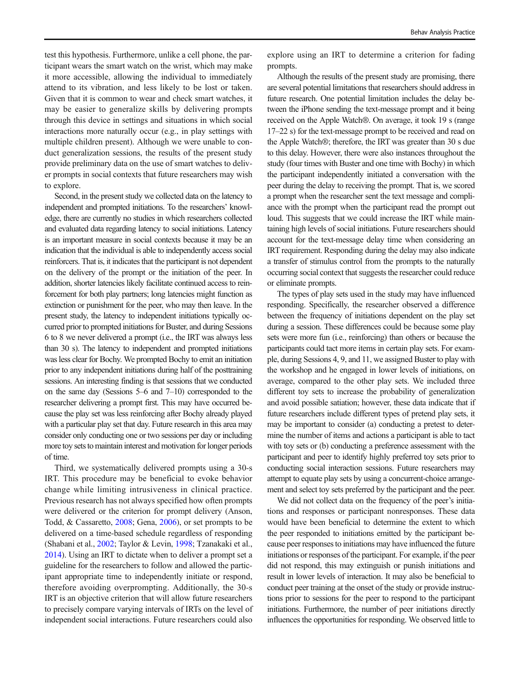test this hypothesis. Furthermore, unlike a cell phone, the participant wears the smart watch on the wrist, which may make it more accessible, allowing the individual to immediately attend to its vibration, and less likely to be lost or taken. Given that it is common to wear and check smart watches, it may be easier to generalize skills by delivering prompts through this device in settings and situations in which social interactions more naturally occur (e.g., in play settings with multiple children present). Although we were unable to conduct generalization sessions, the results of the present study provide preliminary data on the use of smart watches to deliver prompts in social contexts that future researchers may wish to explore.

Second, in the present study we collected data on the latency to independent and prompted initiations. To the researchers' knowledge, there are currently no studies in which researchers collected and evaluated data regarding latency to social initiations. Latency is an important measure in social contexts because it may be an indication that the individual is able to independently access social reinforcers. That is, it indicates that the participant is not dependent on the delivery of the prompt or the initiation of the peer. In addition, shorter latencies likely facilitate continued access to reinforcement for both play partners; long latencies might function as extinction or punishment for the peer, who may then leave. In the present study, the latency to independent initiations typically occurred prior to prompted initiations for Buster, and during Sessions 6 to 8 we never delivered a prompt (i.e., the IRT was always less than 30 s). The latency to independent and prompted initiations was less clear for Bochy. We prompted Bochy to emit an initiation prior to any independent initiations during half of the posttraining sessions. An interesting finding is that sessions that we conducted on the same day (Sessions 5–6 and 7–10) corresponded to the researcher delivering a prompt first. This may have occurred because the play set was less reinforcing after Bochy already played with a particular play set that day. Future research in this area may consider only conducting one or two sessions per day or including more toy sets to maintain interest and motivation for longer periods of time.

Third, we systematically delivered prompts using a 30-s IRT. This procedure may be beneficial to evoke behavior change while limiting intrusiveness in clinical practice. Previous research has not always specified how often prompts were delivered or the criterion for prompt delivery (Anson, Todd, & Cassaretto, [2008;](#page-6-0) Gena, [2006](#page-6-0)), or set prompts to be delivered on a time-based schedule regardless of responding (Shabani et al., [2002;](#page-6-0) Taylor & Levin, [1998](#page-6-0); Tzanakaki et al., [2014\)](#page-6-0). Using an IRT to dictate when to deliver a prompt set a guideline for the researchers to follow and allowed the participant appropriate time to independently initiate or respond, therefore avoiding overprompting. Additionally, the 30-s IRT is an objective criterion that will allow future researchers to precisely compare varying intervals of IRTs on the level of independent social interactions. Future researchers could also

explore using an IRT to determine a criterion for fading prompts.

Although the results of the present study are promising, there are several potential limitations that researchers should address in future research. One potential limitation includes the delay between the iPhone sending the text-message prompt and it being received on the Apple Watch®. On average, it took 19 s (range 17–22 s) for the text-message prompt to be received and read on the Apple Watch®; therefore, the IRT was greater than 30 s due to this delay. However, there were also instances throughout the study (four times with Buster and one time with Bochy) in which the participant independently initiated a conversation with the peer during the delay to receiving the prompt. That is, we scored a prompt when the researcher sent the text message and compliance with the prompt when the participant read the prompt out loud. This suggests that we could increase the IRT while maintaining high levels of social initiations. Future researchers should account for the text-message delay time when considering an IRT requirement. Responding during the delay may also indicate a transfer of stimulus control from the prompts to the naturally occurring social context that suggests the researcher could reduce or eliminate prompts.

The types of play sets used in the study may have influenced responding. Specifically, the researcher observed a difference between the frequency of initiations dependent on the play set during a session. These differences could be because some play sets were more fun (i.e., reinforcing) than others or because the participants could tact more items in certain play sets. For example, during Sessions 4, 9, and 11, we assigned Buster to play with the workshop and he engaged in lower levels of initiations, on average, compared to the other play sets. We included three different toy sets to increase the probability of generalization and avoid possible satiation; however, these data indicate that if future researchers include different types of pretend play sets, it may be important to consider (a) conducting a pretest to determine the number of items and actions a participant is able to tact with toy sets or (b) conducting a preference assessment with the participant and peer to identify highly preferred toy sets prior to conducting social interaction sessions. Future researchers may attempt to equate play sets by using a concurrent-choice arrangement and select toy sets preferred by the participant and the peer.

We did not collect data on the frequency of the peer's initiations and responses or participant nonresponses. These data would have been beneficial to determine the extent to which the peer responded to initiations emitted by the participant because peer responses to initiations may have influenced the future initiations or responses of the participant. For example, if the peer did not respond, this may extinguish or punish initiations and result in lower levels of interaction. It may also be beneficial to conduct peer training at the onset of the study or provide instructions prior to sessions for the peer to respond to the participant initiations. Furthermore, the number of peer initiations directly influences the opportunities for responding. We observed little to